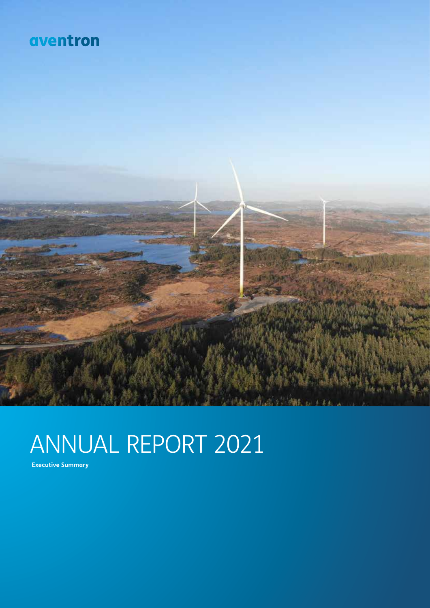### aventron



# ANNUAL REPORT 2021

**Executive Summary**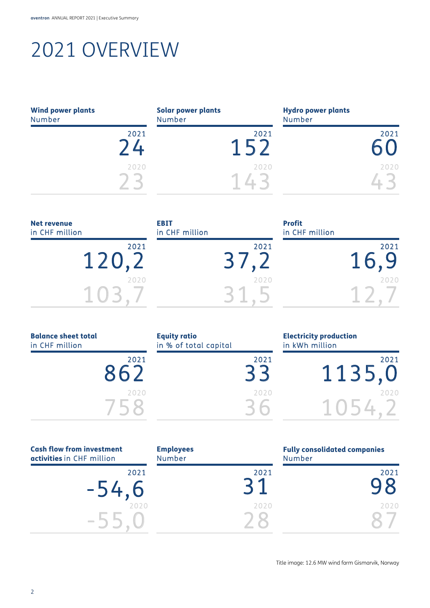# 2021 OVERVIEW

| <b>Wind power plants</b><br><b>Number</b> | <b>Solar power plants</b><br><b>Number</b> |      | <b>Hydro power plants</b><br>Number |      |
|-------------------------------------------|--------------------------------------------|------|-------------------------------------|------|
| 2021                                      |                                            | 2021 |                                     | 2021 |
| 2020                                      |                                            | 2020 |                                     | 2020 |

| <b>Net revenue</b><br>in CHF million | <b>EBIT</b><br>in CHF million | <b>Profit</b><br>in CHF million |
|--------------------------------------|-------------------------------|---------------------------------|
| 2021<br>120,2                        | 2021                          | 2021<br>16.9                    |
| 2020                                 | 2020                          | 2020                            |

| <b>Balance sheet total</b> |  |  |  |
|----------------------------|--|--|--|
| in CHF million             |  |  |  |
|                            |  |  |  |

| 2021 |
|------|
| ΩZ   |

| <b>Equity ratio</b>   |  |
|-----------------------|--|
| in % of total capital |  |
|                       |  |
|                       |  |
|                       |  |

| apital |      | in kv |
|--------|------|-------|
|        | 2021 |       |
|        | 2020 |       |

Electricity production Vh million



| <b>Cash flow from investment</b><br>activities in CHF million | <b>Employees</b><br><b>Number</b> | <b>Fully consolidated companies</b><br><b>Number</b> |
|---------------------------------------------------------------|-----------------------------------|------------------------------------------------------|
| 2021<br>$-54,6$                                               |                                   | 2021<br>2021<br>▱                                    |
| 2020<br>$\sim$                                                |                                   | 2020<br>2020                                         |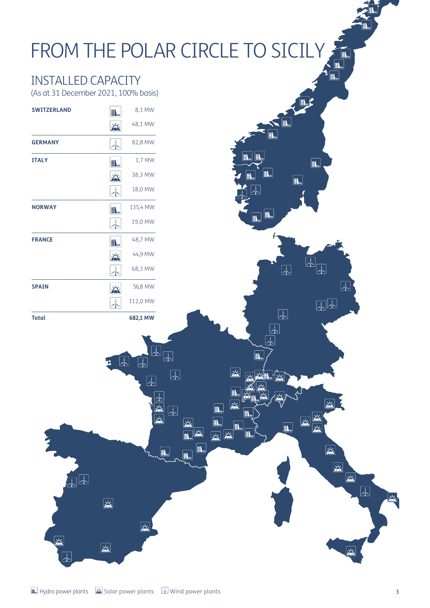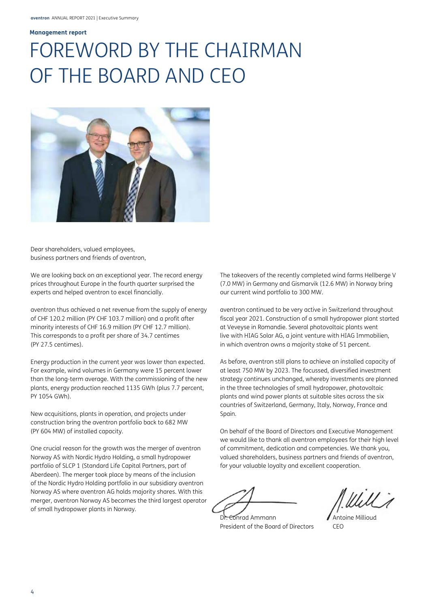#### **Management report Management report**

# FOREWORD BY THE CHAIRMAN OF THE BOARD AND CEO OF THE BOARD AND CEO



Dear shareholders, valued employees, Dear shareholders, valued employees, business partners and friends of aventron, business partners and friends of aventron,

We are looking back on an exceptional year. The record energy We are looking back on an exceptional year. The record energy prices throughout Europe in the fourth quarter surprised the prices throughout Europe in the fourth quarter surprised the experts and helped aventron to excel financially. experts and helped aventron to excel financially.

aventron thus achieved a net revenue from the supply of energy aventron thus achieved a net revenue from the supply of energy of CHF 120.2 million (PY CHF 103.7 million) and a profit after of CHF 120.2 million (PY CHF 103.7 million) and a profit after minority interests of CHF 16.9 million (PY CHF 12.7 million). minority interests of CHF 16.9 million (PY CHF 12.7 million). This corresponds to a profit per share of 34.7 centimes This corresponds to a profit per share of 34.7 centimes (PY 27.5 centimes). (PY 27.5 centimes).

Energy production in the current year was lower than expected. Energy production in the current year was lower than expected. For example, wind volumes in Germany were 15 percent lower For example, wind volumes in Germany were 15 percent lower than the long-term average. With the commissioning of the new than the long-term average. With the commissioning of the new plants, energy production reached 1135 GWh (plus 7.7 percent, plants, energy production reached 1135 GWh (plus 7.7 percent, PY 1054 GWh). PY 1054 GWh).

New acquisitions, plants in operation, and projects under New acquisitions, plants in operation, and projects under construction bring the aventron portfolio back to 682 MW construction bring the aventron portfolio back to 682 MW (PY 604 MW) of installed capacity. (PY 604 MW) of installed capacity.

One crucial reason for the growth was the merger of aventron One crucial reason for the growth was the merger of aventron Norway AS with Nordic Hydro Holding, a small hydropower Norway AS with Nordic Hydro Holding, a small hydropower portfolio of SLCP 1 (Standard Life Capital Partners, part of portfolio of SLCP 1 (Standard Life Capital Partners, part of Aberdeen). The merger took place by means of the inclusion Aberdeen). The merger took place by means of the inclusion of the Nordic Hydro Holding portfolio in our subsidiary aventron of the Nordic Hydro Holding portfolio in our subsidiary aventron Norway AS where aventron AG holds majority shares. With this Norway AS where aventron AG holds majority shares. With this merger, aventron Norway AS becomes the third largest operator merger, aventron Norway AS becomes the third largest operator of small hydropower plants in Norway. of small hydropower plants in Norway.

The takeovers of the recently completed wind farms Hellberge V The takeovers of the recently completed wind farms Hellberge V (7.0 MW) in Germany and Gismarvik (12.6 MW) in Norway bring (7.0 MW) in Germany and Gismarvik (12.6 MW) in Norway bring our current wind portfolio to 300 MW. our current wind portfolio to 300 MW.

aventron continued to be very active in Switzerland throughout aventron continued to be very active in Switzerland throughout fiscal year 2021. Construction of a small hydropower plant started fiscal year 2021. Construction of a small hydropower plant started at Veveyse in Romandie. Several photovoltaic plants went at Veveyse in Romandie. Several photovoltaic plants went live with HIAG Solar AG, a joint venture with HIAG Immobilien, live with HIAG Solar AG, a joint venture with HIAG Immobilien, in which aventron owns a majority stake of 51 percent. in which aventron owns a majority stake of 51 percent.

As before, aventron still plans to achieve an installed capacity of As before, aventron still plans to achieve an installed capacity of at least 750 MW by 2023. The focussed, diversified investment at least 750 MW by 2023. The focussed, diversified investment strategy continues unchanged, whereby investments are planned strategy continues unchanged, whereby investments are planned in the three technologies of small hydropower, photovoltaic in the three technologies of small hydropower, photovoltaic plants and wind power plants at suitable sites across the six plants and wind power plants at suitable sites across the six countries of Switzerland, Germany, Italy, Norway, France and countries of Switzerland, Germany, Italy, Norway, France and Spain. Spain.

On behalf of the Board of Directors and Executive Management On behalf of the Board of Directors and Executive Management we would like to thank all aventron employees for their high level we would like to thank all aventron employees for their high level of commitment, dedication and competencies. We thank you, of commitment, dedication and competencies. We thank you, valued shareholders, business partners and friends of aventron, valued shareholders, business partners and friends of aventron, for your valuable loyalty and excellent cooperation. for your valuable loyalty and excellent cooperation.

Dr. Conrad Ammann **Antoine Millioud** President of the Board of Directors CEO President of the Board of Directors CEO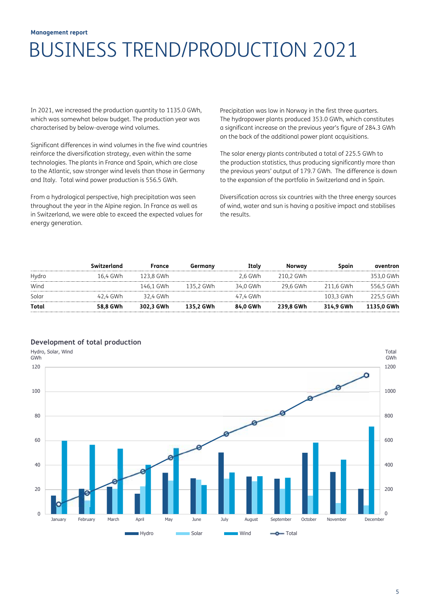#### **Management report Management report**  BUSINESS TREND/PRODUCTION 2021 /
 7576 BUSINESS TREND/PRODUCTION 2021 BUSINESS TREND/PRODUCTION 2021

In 2021, we increased the production quantity to  $1135.0$  GWh, which was somewhat below budget. The production year was characterised by below-average wind volumes.

Significant differences in wind volumes in the five wind countries reinforce the diversification strategy, even within the same technologies. The plants in France and Spain, which are close to the Atlantic, saw stronger wind levels than those in Germany and Italy. Total wind power production is 556.5 GWh.

From a hydrological perspective, high precipitation was seen throughout the year in the Alpine region. In France as well as in Switzerland, we were able to exceed the expected values for energy generation. Precipitation was low in Norway in the first three quarters. The hydropower plants produced 353.0 GWh, which constitutes a significant increase on the previous year's figure of 284.3 GWh on the back of the additional power plant acquisitions.

The solar energy plants contributed a total of 225.5 GWh to the production statistics, thus producing significantly more than the previous years' output of 179.7 GWh. The difference is down to the expansion of the portfolio in Switzerland and in Spain.

Diversification across six countries with the three energy sources of wind, water and sun is having a positive impact and stabilises the results. of wind, water and sun is having a positive impact and stabilises in the stabilises in the stabilises of  $\sim$ 

|       | Switzerland | France    | Germany   | Italv    | Norway    | Spain     | aventron   |
|-------|-------------|-----------|-----------|----------|-----------|-----------|------------|
| Hydro | 16.4 GWh    | 123.8 GWh |           | 2.6 GWh  | 210.2 GWh |           | 353,0 GWh  |
| Wind  |             | 146.1 GWh | 135.2 GWh | 34.0 GWh | 29.6 GWh  | 211.6 GWh | 556.5 GWh  |
| Solar | 42.4 GWh    | 32.4 GWh  |           | 47.4 GWh |           | 103.3 GWh | 225.5 GWh  |
| Total | 58.8 GWh    | 302.3 GWh | 135.2 GWh | 84.0 GWh | 239.8 GWh | 314.9 GWh | 1135.0 GWh |

#### **Development of total production**

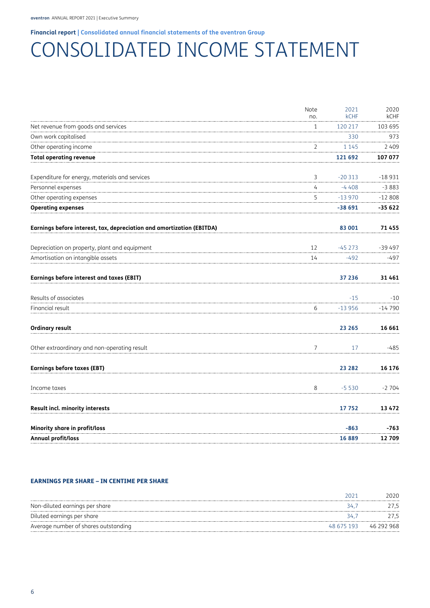#### **Financial report | Consolidated annual financial statements of the aventron Group Financial report | Consolidated annual financial statements of the aventron Group**

### CONSOLIDATED INCOME STATEMENT CONSOLIDATED INCOME STATEMENT

|                                                                       | Note           | 2021        | 2020        |
|-----------------------------------------------------------------------|----------------|-------------|-------------|
|                                                                       | no.            | <b>kCHF</b> | <b>kCHF</b> |
| Net revenue from goods and services                                   | 1              | 120 217     | 103 695     |
| Own work capitalised                                                  |                | 330         | 973         |
| Other operating income                                                | 2              | 1 1 4 5     | 2409        |
| <b>Total operating revenue</b>                                        |                | 121 692     | 107 077     |
| Expenditure for energy, materials and services                        | 3              | $-20313$    | $-18931$    |
| Personnel expenses                                                    | 4              | $-4408$     | $-3883$     |
| Other operating expenses                                              | 5              | $-13970$    | $-12808$    |
| <b>Operating expenses</b>                                             |                | $-38691$    | -35 622     |
| Earnings before interest, tax, depreciation and amortization (EBITDA) |                | 83 001      | 71455       |
| Depreciation on property, plant and equipment                         | 12             | $-45273$    | $-39497$    |
| Amortisation on intangible assets                                     | 14             | $-492$      | $-497$      |
| <b>Earnings before interest and taxes (EBIT)</b>                      |                | 37 236      | 31461       |
| Results of associates                                                 |                | $-15$       | $-10$       |
| Financial result                                                      | 6              | $-13956$    | $-14790$    |
| <b>Ordinary result</b>                                                |                | 23 265      | 16 661      |
| Other extraordinary and non-operating result                          | $\overline{7}$ | 17          | $-485$      |
| <b>Earnings before taxes (EBT)</b>                                    |                | 23 282      | 16 176      |
| Income taxes                                                          | 8              | $-5530$     | $-2704$     |
| <b>Result incl. minority interests</b>                                |                | 17752       | 13 4 72     |
| Minority share in profit/loss                                         |                | $-863$      | $-763$      |
| Annual profit/loss                                                    |                | 16889       | 12709       |

#### EARNINGS PER SHARE – IN CENTIME PER SHARE EARNINGS PER SHARE – IN CENTIME PER SHARE

|                                      | ברוכ | 2020                  |
|--------------------------------------|------|-----------------------|
| Non-diluted earnings per share       | ≺4⊥  |                       |
| Diluted earnings per share           | 34.  |                       |
| Average number of shares outstanding |      | 48 675 193 46 292 968 |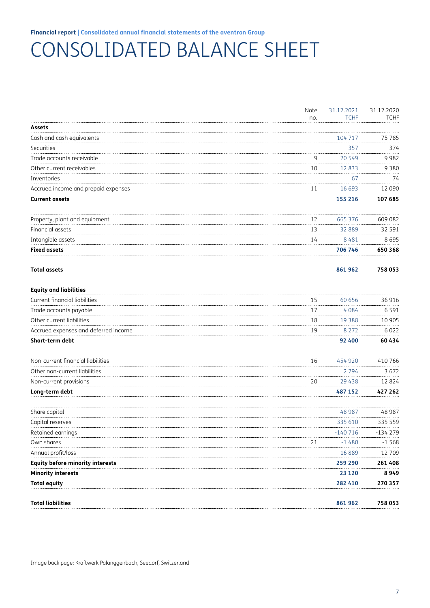## CONSOLIDATED BALANCE SHEET

|                                         | Note | 31.12.2021  | 31.12.2020  |
|-----------------------------------------|------|-------------|-------------|
|                                         | no.  | <b>TCHF</b> | <b>TCHF</b> |
| <b>Assets</b>                           |      |             |             |
| Cash and cash equivalents               |      | 104 717     | 75 785      |
| Securities                              |      | 357         | 374         |
| Trade accounts receivable               | 9    | 20 549      | 9982        |
| Other current receivables               | 10   | 12833       | 9 3 8 0     |
| <b>Inventories</b>                      |      | 67          | 74          |
| Accrued income and prepaid expenses     | 11   | 16 693      | 12 090      |
| <b>Current assets</b>                   |      | 155 216     | 107 685     |
| Property, plant and equipment           | 12   | 665 376     | 609 082     |
| Financial assets                        | 13   | 32 889      | 32 591      |
| Intangible assets                       | 14   | 8 4 8 1     | 8695        |
| <b>Fixed assets</b>                     |      | 706 746     | 650 368     |
| <b>Total assets</b>                     |      | 861962      | 758 053     |
| <b>Equity and liabilities</b>           |      |             |             |
| Current financial liabilities           | 15   | 60 656      | 36 916      |
| Trade accounts payable                  | 17   | 4084        | 6 5 9 1     |
| Other current liabilities               | 18   | 19 3 8 8    | 10 905      |
| Accrued expenses and deferred income    | 19   | 8 2 7 2     | 6022        |
| Short-term debt                         |      | 92 400      | 60434       |
| Non-current financial liabilities       | 16   | 454 920     | 410 766     |
| Other non-current liabilities           |      | 2 7 9 4     | 3672        |
| Non-current provisions                  | 20   | 29 4 38     | 12824       |
| Long-term debt                          |      | 487 152     | 427 262     |
| Share capital                           |      | 48 987      | 48 987      |
| Capital reserves                        |      | 335 610     | 335 559     |
| Retained earnings                       |      | $-140/16$   | -134 279    |
| Own shares                              | 21   | $-1480$     | $-1568$     |
| Annual profit/loss                      |      | 16 889      | 12 709      |
| <b>Equity before minority interests</b> |      | 259 290     | 261408      |
| <b>Minority interests</b>               |      | 23 1 20     | 8949        |
| <b>Total equity</b>                     |      | 282 410     | 270 357     |
| Total liabilities                       |      | 861962      | 758 053     |
|                                         |      |             |             |